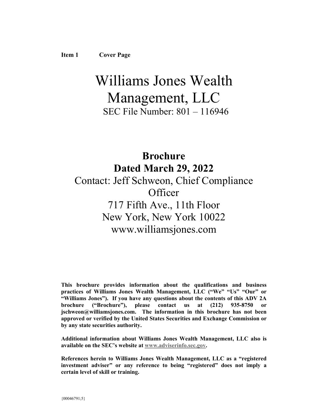# Williams Jones Wealth Management, LLC

SEC File Number: 801 – 116946

# **Brochure Dated March 29, 2022** Contact: Jeff Schweon, Chief Compliance **Officer** 717 Fifth Ave., 11th Floor New York, New York 10022 www.williamsjones.com

**This brochure provides information about the qualifications and business practices of Williams Jones Wealth Management, LLC ("We" "Us" "Our" or "Williams Jones"). If you have any questions about the contents of this ADV 2A brochure ("Brochure"), please contact us at (212) 935-8750 or jschweon@williamsjones.com. The information in this brochure has not been approved or verified by the United States Securities and Exchange Commission or by any state securities authority.** 

**Additional information about Williams Jones Wealth Management, LLC also is available on the SEC's website at www.adviserinfo.sec.gov.** 

**References herein to Williams Jones Wealth Management, LLC as a "registered investment adviser" or any reference to being "registered" does not imply a certain level of skill or training.**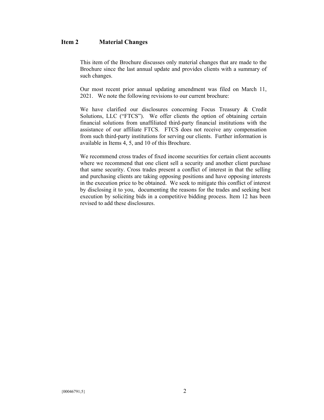# **Item 2 Material Changes**

This item of the Brochure discusses only material changes that are made to the Brochure since the last annual update and provides clients with a summary of such changes.

Our most recent prior annual updating amendment was filed on March 11, 2021. We note the following revisions to our current brochure:

We have clarified our disclosures concerning Focus Treasury & Credit Solutions, LLC ("FTCS"). We offer clients the option of obtaining certain financial solutions from unaffiliated third-party financial institutions with the assistance of our affiliate FTCS. FTCS does not receive any compensation from such third-party institutions for serving our clients. Further information is available in Items 4, 5, and 10 of this Brochure.

We recommend cross trades of fixed income securities for certain client accounts where we recommend that one client sell a security and another client purchase that same security. Cross trades present a conflict of interest in that the selling and purchasing clients are taking opposing positions and have opposing interests in the execution price to be obtained. We seek to mitigate this conflict of interest by disclosing it to you, documenting the reasons for the trades and seeking best execution by soliciting bids in a competitive bidding process. Item 12 has been revised to add these disclosures.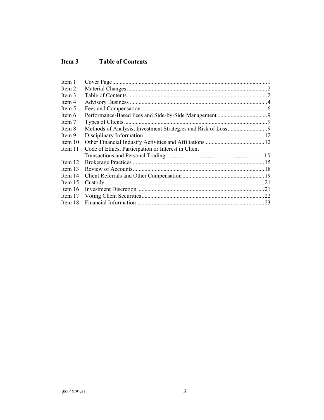# **Item 3 Table of Contents**

| Item 1  |                                                     |  |
|---------|-----------------------------------------------------|--|
| Item 2  |                                                     |  |
| Item 3  |                                                     |  |
| Item 4  |                                                     |  |
| Item 5  |                                                     |  |
| Item 6  |                                                     |  |
| Item 7  |                                                     |  |
| Item 8  |                                                     |  |
| Item 9  |                                                     |  |
| Item 10 |                                                     |  |
| Item 11 | Code of Ethics, Participation or Interest in Client |  |
|         |                                                     |  |
| Item 12 |                                                     |  |
| Item 13 |                                                     |  |
| Item 14 |                                                     |  |
| Item 15 |                                                     |  |
| Item 16 |                                                     |  |
| Item 17 |                                                     |  |
| Item 18 |                                                     |  |
|         |                                                     |  |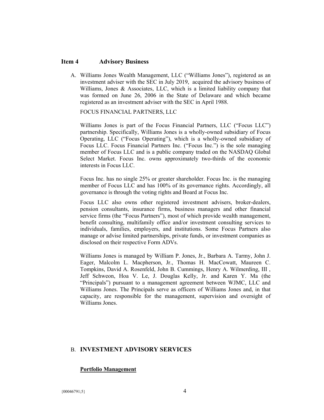#### **Item 4 Advisory Business**

A. Williams Jones Wealth Management, LLC ("Williams Jones"), registered as an investment adviser with the SEC in July 2019, acquired the advisory business of Williams, Jones & Associates, LLC, which is a limited liability company that was formed on June 26, 2006 in the State of Delaware and which became registered as an investment adviser with the SEC in April 1988.

FOCUS FINANCIAL PARTNERS, LLC

Williams Jones is part of the Focus Financial Partners, LLC ("Focus LLC") partnership. Specifically, Williams Jones is a wholly-owned subsidiary of Focus Operating, LLC ("Focus Operating"), which is a wholly-owned subsidiary of Focus LLC. Focus Financial Partners Inc. ("Focus Inc.") is the sole managing member of Focus LLC and is a public company traded on the NASDAQ Global Select Market. Focus Inc. owns approximately two-thirds of the economic interests in Focus LLC.

Focus Inc. has no single 25% or greater shareholder. Focus Inc. is the managing member of Focus LLC and has 100% of its governance rights. Accordingly, all governance is through the voting rights and Board at Focus Inc.

Focus LLC also owns other registered investment advisers, broker-dealers, pension consultants, insurance firms, business managers and other financial service firms (the "Focus Partners"), most of which provide wealth management, benefit consulting, multifamily office and/or investment consulting services to individuals, families, employers, and institutions. Some Focus Partners also manage or advise limited partnerships, private funds, or investment companies as disclosed on their respective Form ADVs.

Williams Jones is managed by William P. Jones, Jr., Barbara A. Tarmy, John J. Eager, Malcolm L. Macpherson, Jr., Thomas H. MacCowatt, Maureen C. Tompkins, David A. Rosenfeld, John B. Cummings, Henry A. Wilmerding, III , Jeff Schweon, Hoa V. Le, J. Douglas Kelly, Jr. and Karen Y. Ma (the "Principals") pursuant to a management agreement between WJMC, LLC and Williams Jones. The Principals serve as officers of Williams Jones and, in that capacity, are responsible for the management, supervision and oversight of Williams Jones.

#### B. **INVESTMENT ADVISORY SERVICES**

#### **Portfolio Management**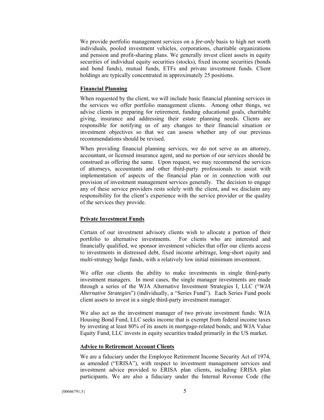We provide portfolio management services on a *fee-only* basis to high net worth individuals, pooled investment vehicles, corporations, charitable organizations and pension and profit-sharing plans. We generally invest client assets in equity securities of individual equity securities (stocks), fixed income securities (bonds and bond funds), mutual funds, ETFs and private investment funds. Client holdings are typically concentrated in approximately 25 positions.

#### **Financial Planning**

When requested by the client, we will include basic financial planning services in the services we offer portfolio management clients. Among other things, we advise clients in preparing for retirement, funding educational goals, charitable giving, insurance and addressing their estate planning needs. Clients are responsible for notifying us of any changes to their financial situation or investment objectives so that we can assess whether any of our previous recommendations should be revised.

When providing financial planning services, we do not serve as an attorney, accountant, or licensed insurance agent, and no portion of our services should be construed as offering the same. Upon request, we may recommend the services of attorneys, accountants and other third-party professionals to assist with implementation of aspects of the financial plan or in connection with our provision of investment management services generally. The decision to engage any of these service providers rests solely with the client, and we disclaim any responsibility for the client's experience with the service provider or the quality of the services they provide.

#### **Private Investment Funds**

Certain of our investment advisory clients wish to allocate a portion of their portfolio to alternative investments. For clients who are interested and financially qualified, we sponsor investment vehicles that offer our clients access to investments in distressed debt, fixed income arbitrage, long-short equity and multi-strategy hedge funds, with a relatively low initial minimum investment.

We offer our clients the ability to make investments in single third-party investment managers. In most cases, the single manager investments are made through a series of the WJA Alternative Investment Strategies I, LLC ("*WJA Alternative Strategies*") (individually, a "Series Fund"). Each Series Fund pools client assets to invest in a single third-party investment manager.

We also act as the investment manager of two private investment funds: WJA Housing Bond Fund, LLC seeks income that is exempt from federal income taxes by investing at least 80% of its assets in mortgage-related bonds; and WJA Value Equity Fund, LLC invests in equity securities traded primarily in the US market.

#### **Advice to Retirement Account Clients**

We are a fiduciary under the Employee Retirement Income Security Act of 1974, as amended ("ERISA"), with respect to investment management services and investment advice provided to ERISA plan clients, including ERISA plan participants. We are also a fiduciary under the Internal Revenue Code (the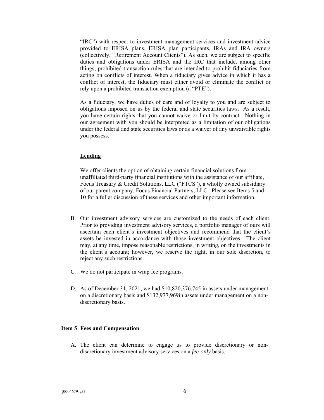"IRC") with respect to investment management services and investment advice provided to ERISA plans, ERISA plan participants, IRAs and IRA owners (collectively, "Retirement Account Clients"). As such, we are subject to specific duties and obligations under ERISA and the IRC that include, among other things, prohibited transaction rules that are intended to prohibit fiduciaries from acting on conflicts of interest. When a fiduciary gives advice in which it has a conflict of interest, the fiduciary must either avoid or eliminate the conflict or rely upon a prohibited transaction exemption (a "PTE").

As a fiduciary, we have duties of care and of loyalty to you and are subject to obligations imposed on us by the federal and state securities laws. As a result, you have certain rights that you cannot waive or limit by contract. Nothing in our agreement with you should be interpreted as a limitation of our obligations under the federal and state securities laws or as a waiver of any unwaivable rights you possess.

#### **Lending**

We offer clients the option of obtaining certain financial solutions from unaffiliated third-party financial institutions with the assistance of our affiliate, Focus Treasury & Credit Solutions, LLC ("FTCS"), a wholly owned subsidiary of our parent company, Focus Financial Partners, LLC. Please see Items 5 and 10 for a fuller discussion of these services and other important information.

- B. Our investment advisory services are customized to the needs of each client. Prior to providing investment advisory services, a portfolio manager of ours will ascertain each client's investment objectives and recommend that the client's assets be invested in accordance with those investment objectives. The client may, at any time, impose reasonable restrictions, in writing, on the investments in the client's account; however, we reserve the right, in our sole discretion, to reject any such restrictions.
- C. We do not participate in wrap fee programs.
- D. As of December 31, 2021, we had \$10,820,376,745 in assets under management on a discretionary basis and \$132,977,969in assets under management on a nondiscretionary basis.

#### **Item 5 Fees and Compensation**

A. The client can determine to engage us to provide discretionary or nondiscretionary investment advisory services on a *fee-only* basis.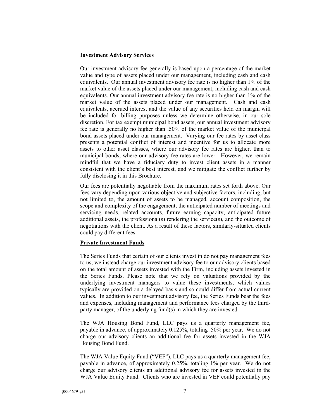#### **Investment Advisory Services**

Our investment advisory fee generally is based upon a percentage of the market value and type of assets placed under our management, including cash and cash equivalents. Our annual investment advisory fee rate is no higher than 1% of the market value of the assets placed under our management, including cash and cash equivalents. Our annual investment advisory fee rate is no higher than 1% of the market value of the assets placed under our management. Cash and cash equivalents, accrued interest and the value of any securities held on margin will be included for billing purposes unless we determine otherwise, in our sole discretion. For tax exempt municipal bond assets, our annual investment advisory fee rate is generally no higher than .50% of the market value of the municipal bond assets placed under our management. Varying our fee rates by asset class presents a potential conflict of interest and incentive for us to allocate more assets to other asset classes, where our advisory fee rates are higher, than to municipal bonds, where our advisory fee rates are lower. However, we remain mindful that we have a fiduciary duty to invest client assets in a manner consistent with the client's best interest, and we mitigate the conflict further by fully disclosing it in this Brochure.

Our fees are potentially negotiable from the maximum rates set forth above. Our fees vary depending upon various objective and subjective factors, including, but not limited to, the amount of assets to be managed, account composition, the scope and complexity of the engagement, the anticipated number of meetings and servicing needs, related accounts, future earning capacity, anticipated future additional assets, the professional(s) rendering the service(s), and the outcome of negotiations with the client. As a result of these factors, similarly-situated clients could pay different fees.

#### **Private Investment Funds**

The Series Funds that certain of our clients invest in do not pay management fees to us; we instead charge our investment advisory fee to our advisory clients based on the total amount of assets invested with the Firm, including assets invested in the Series Funds. Please note that we rely on valuations provided by the underlying investment managers to value these investments, which values typically are provided on a delayed basis and so could differ from actual current values. In addition to our investment advisory fee, the Series Funds bear the fees and expenses, including management and performance fees charged by the thirdparty manager, of the underlying fund(s) in which they are invested.

The WJA Housing Bond Fund, LLC pays us a quarterly management fee, payable in advance, of approximately 0.125%, totaling .50% per year. We do not charge our advisory clients an additional fee for assets invested in the WJA Housing Bond Fund.

The WJA Value Equity Fund ("VEF"), LLC pays us a quarterly management fee, payable in advance, of approximately 0.25%, totaling 1% per year. We do not charge our advisory clients an additional advisory fee for assets invested in the WJA Value Equity Fund. Clients who are invested in VEF could potentially pay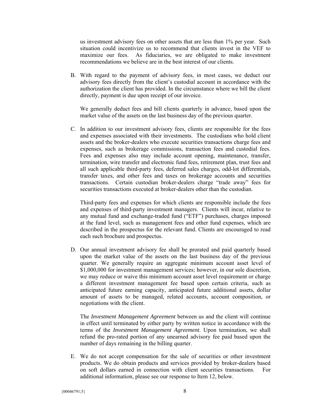us investment advisory fees on other assets that are less than 1% per year. Such situation could incentivize us to recommend that clients invest in the VEF to maximize our fees. As fiduciaries, we are obligated to make investment recommendations we believe are in the best interest of our clients.

B. With regard to the payment of advisory fees, in most cases, we deduct our advisory fees directly from the client's custodial account in accordance with the authorization the client has provided. In the circumstance where we bill the client directly, payment is due upon receipt of our invoice.

We generally deduct fees and bill clients quarterly in advance, based upon the market value of the assets on the last business day of the previous quarter.

C. In addition to our investment advisory fees, clients are responsible for the fees and expenses associated with their investments. The custodians who hold client assets and the broker-dealers who execute securities transactions charge fees and expenses, such as brokerage commissions, transaction fees and custodial fees. Fees and expenses also may include account opening, maintenance, transfer, termination, wire transfer and electronic fund fees, retirement plan, trust fees and all such applicable third-party fees, deferred sales charges, odd-lot differentials, transfer taxes, and other fees and taxes on brokerage accounts and securities transactions. Certain custodian broker-dealers charge "trade away" fees for securities transactions executed at broker-dealers other than the custodian.

Third-party fees and expenses for which clients are responsible include the fees and expenses of third-party investment managers. Clients will incur, relative to any mutual fund and exchange-traded fund ("ETF") purchases, charges imposed at the fund level, such as management fees and other fund expenses, which are described in the prospectus for the relevant fund. Clients are encouraged to read each such brochure and prospectus.

D. Our annual investment advisory fee shall be prorated and paid quarterly based upon the market value of the assets on the last business day of the previous quarter. We generally require an aggregate minimum account asset level of \$1,000,000 for investment management services; however, in our sole discretion, we may reduce or waive this minimum account asset level requirement or charge a different investment management fee based upon certain criteria, such as anticipated future earning capacity, anticipated future additional assets, dollar amount of assets to be managed, related accounts, account composition, or negotiations with the client.

The *Investment Management Agreement* between us and the client will continue in effect until terminated by either party by written notice in accordance with the terms of the *Investment Management Agreement*. Upon termination, we shall refund the pro-rated portion of any unearned advisory fee paid based upon the number of days remaining in the billing quarter.

E. We do not accept compensation for the sale of securities or other investment products. We do obtain products and services provided by broker-dealers based on soft dollars earned in connection with client securities transactions. For additional information, please see our response to Item 12, below.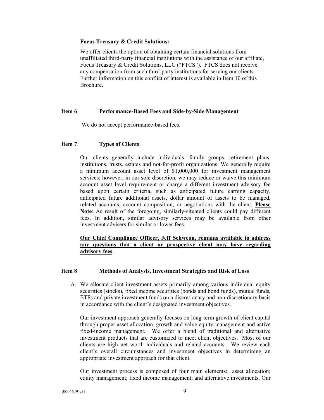#### **Focus Treasury & Credit Solutions:**

We offer clients the option of obtaining certain financial solutions from unaffiliated third-party financial institutions with the assistance of our affiliate, Focus Treasury & Credit Solutions, LLC ("FTCS"). FTCS does not receive any compensation from such third-party institutions for serving our clients. Further information on this conflict of interest is available in Item 10 of this Brochure.

#### **Item 6 Performance-Based Fees and Side-by-Side Management**

We do not accept performance-based fees.

#### **Item 7 Types of Clients**

Our clients generally include individuals, family groups, retirement plans, institutions, trusts, estates and not-for-profit organizations. We generally require a minimum account asset level of \$1,000,000 for investment management services; however, in our sole discretion, we may reduce or waive this minimum account asset level requirement or charge a different investment advisory fee based upon certain criteria, such as anticipated future earning capacity, anticipated future additional assets, dollar amount of assets to be managed, related accounts, account composition, or negotiations with the client. **Please Note**: As result of the foregoing, similarly-situated clients could pay different fees. In addition, similar advisory services may be available from other investment advisers for similar or lower fees.

## **Our Chief Compliance Officer, Jeff Schweon, remains available to address any questions that a client or prospective client may have regarding advisory fees**.

#### **Item 8 Methods of Analysis, Investment Strategies and Risk of Loss**

A. We allocate client investment assets primarily among various individual equity securities (stocks), fixed income securities (bonds and bond funds), mutual funds, ETFs and private investment funds on a discretionary and non-discretionary basis in accordance with the client's designated investment objectives.

Our investment approach generally focuses on long-term growth of client capital through proper asset allocation, growth and value equity management and active fixed-income management. We offer a blend of traditional and alternative investment products that are customized to meet client objectives. Most of our clients are high net worth individuals and related accounts. We review each client's overall circumstances and investment objectives in determining an appropriate investment approach for that client.

Our investment process is composed of four main elements: asset allocation; equity management; fixed income management; and alternative investments. Our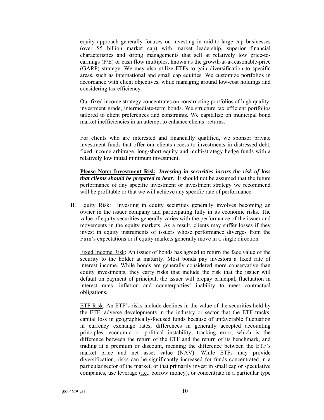equity approach generally focuses on investing in mid-to-large cap businesses (over \$5 billion market cap) with market leadership, superior financial characteristics and strong managements that sell at relatively low price-toearnings (P/E) or cash flow multiples, known as the growth-at-a-reasonable-price (GARP) strategy. We may also utilize ETFs to gain diversification to specific areas, such as international and small cap equities. We customize portfolios in accordance with client objectives, while managing around low-cost holdings and considering tax efficiency.

Our fixed income strategy concentrates on constructing portfolios of high quality, investment grade, intermediate-term bonds. We structure tax efficient portfolios tailored to client preferences and constraints. We capitalize on municipal bond market inefficiencies in an attempt to enhance clients' returns.

For clients who are interested and financially qualified, we sponsor private investment funds that offer our clients access to investments in distressed debt, fixed income arbitrage, long-short equity and multi-strategy hedge funds with a relatively low initial minimum investment.

**Please Note: Investment Risk**. *Investing in securities incurs the risk of loss that clients should be prepared to bear*. It should not be assumed that the future performance of any specific investment or investment strategy we recommend will be profitable or that we will achieve any specific rate of performance.

B. Equity Risk: Investing in equity securities generally involves becoming an owner in the issuer company and participating fully in its economic risks. The value of equity securities generally varies with the performance of the issuer and movements in the equity markets. As a result, clients may suffer losses if they invest in equity instruments of issuers whose performance diverges from the Firm's expectations or if equity markets generally move in a single direction.

Fixed Income Risk: An issuer of bonds has agreed to return the face value of the security to the holder at maturity. Most bonds pay investors a fixed rate of interest income. While bonds are generally considered more conservative than equity investments, they carry risks that include the risk that the issuer will default on payment of principal, the issuer will prepay principal, fluctuation in interest rates, inflation and counterparties' inability to meet contractual obligations.

ETF Risk: An ETF's risks include declines in the value of the securities held by the ETF, adverse developments in the industry or sector that the ETF tracks, capital loss in geographically-focused funds because of unfavorable fluctuation in currency exchange rates, differences in generally accepted accounting principles, economic or political instability, tracking error, which is the difference between the return of the ETF and the return of its benchmark, and trading at a premium or discount, meaning the difference between the ETF's market price and net asset value (NAV). While ETFs may provide diversification, risks can be significantly increased for funds concentrated in a particular sector of the market, or that primarily invest in small cap or speculative companies, use leverage  $(i.e.,$  borrow money), or concentrate in a particular type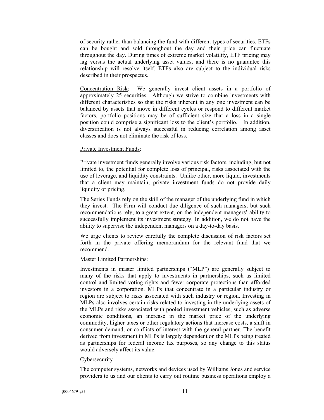of security rather than balancing the fund with different types of securities. ETFs can be bought and sold throughout the day and their price can fluctuate throughout the day. During times of extreme market volatility, ETF pricing may lag versus the actual underlying asset values, and there is no guarantee this relationship will resolve itself. ETFs also are subject to the individual risks described in their prospectus.

Concentration Risk: We generally invest client assets in a portfolio of approximately 25 securities. Although we strive to combine investments with different characteristics so that the risks inherent in any one investment can be balanced by assets that move in different cycles or respond to different market factors, portfolio positions may be of sufficient size that a loss in a single position could comprise a significant loss to the client's portfolio. In addition, diversification is not always successful in reducing correlation among asset classes and does not eliminate the risk of loss.

#### Private Investment Funds:

Private investment funds generally involve various risk factors, including, but not limited to, the potential for complete loss of principal, risks associated with the use of leverage, and liquidity constraints. Unlike other, more liquid, investments that a client may maintain, private investment funds do not provide daily liquidity or pricing.

The Series Funds rely on the skill of the manager of the underlying fund in which they invest. The Firm will conduct due diligence of such managers, but such recommendations rely, to a great extent, on the independent managers' ability to successfully implement its investment strategy. In addition, we do not have the ability to supervise the independent managers on a day-to-day basis.

We urge clients to review carefully the complete discussion of risk factors set forth in the private offering memorandum for the relevant fund that we recommend.

#### Master Limited Partnerships:

Investments in master limited partnerships ("MLP") are generally subject to many of the risks that apply to investments in partnerships, such as limited control and limited voting rights and fewer corporate protections than afforded investors in a corporation. MLPs that concentrate in a particular industry or region are subject to risks associated with such industry or region. Investing in MLPs also involves certain risks related to investing in the underlying assets of the MLPs and risks associated with pooled investment vehicles, such as adverse economic conditions, an increase in the market price of the underlying commodity, higher taxes or other regulatory actions that increase costs, a shift in consumer demand, or conflicts of interest with the general partner. The benefit derived from investment in MLPs is largely dependent on the MLPs being treated as partnerships for federal income tax purposes, so any change to this status would adversely affect its value.

#### Cybersecurity

The computer systems, networks and devices used by Williams Jones and service providers to us and our clients to carry out routine business operations employ a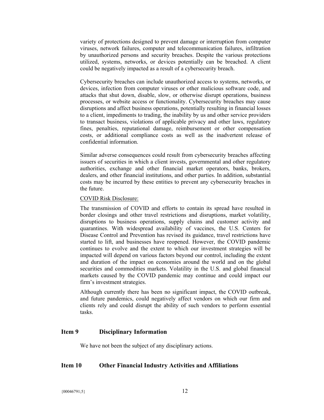variety of protections designed to prevent damage or interruption from computer viruses, network failures, computer and telecommunication failures, infiltration by unauthorized persons and security breaches. Despite the various protections utilized, systems, networks, or devices potentially can be breached. A client could be negatively impacted as a result of a cybersecurity breach.

Cybersecurity breaches can include unauthorized access to systems, networks, or devices, infection from computer viruses or other malicious software code, and attacks that shut down, disable, slow, or otherwise disrupt operations, business processes, or website access or functionality. Cybersecurity breaches may cause disruptions and affect business operations, potentially resulting in financial losses to a client, impediments to trading, the inability by us and other service providers to transact business, violations of applicable privacy and other laws, regulatory fines, penalties, reputational damage, reimbursement or other compensation costs, or additional compliance costs as well as the inadvertent release of confidential information.

Similar adverse consequences could result from cybersecurity breaches affecting issuers of securities in which a client invests, governmental and other regulatory authorities, exchange and other financial market operators, banks, brokers, dealers, and other financial institutions, and other parties. In addition, substantial costs may be incurred by these entities to prevent any cybersecurity breaches in the future.

#### COVID Risk Disclosure:

The transmission of COVID and efforts to contain its spread have resulted in border closings and other travel restrictions and disruptions, market volatility, disruptions to business operations, supply chains and customer activity and quarantines. With widespread availability of vaccines, the U.S. Centers for Disease Control and Prevention has revised its guidance, travel restrictions have started to lift, and businesses have reopened. However, the COVID pandemic continues to evolve and the extent to which our investment strategies will be impacted will depend on various factors beyond our control, including the extent and duration of the impact on economies around the world and on the global securities and commodities markets. Volatility in the U.S. and global financial markets caused by the COVID pandemic may continue and could impact our firm's investment strategies.

Although currently there has been no significant impact, the COVID outbreak, and future pandemics, could negatively affect vendors on which our firm and clients rely and could disrupt the ability of such vendors to perform essential tasks.

# **Item 9 Disciplinary Information**

We have not been the subject of any disciplinary actions.

# **Item 10 Other Financial Industry Activities and Affiliations**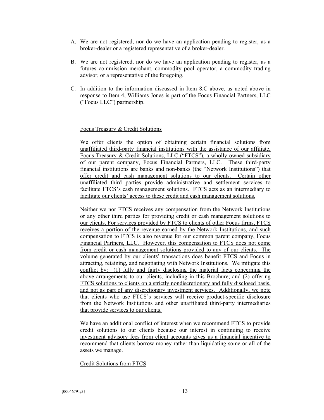- A. We are not registered, nor do we have an application pending to register, as a broker-dealer or a registered representative of a broker-dealer.
- B. We are not registered, nor do we have an application pending to register, as a futures commission merchant, commodity pool operator, a commodity trading advisor, or a representative of the foregoing.
- C. In addition to the information discussed in Item 8.C above, as noted above in response to Item 4, Williams Jones is part of the Focus Financial Partners, LLC ("Focus LLC") partnership.

#### Focus Treasury & Credit Solutions

We offer clients the option of obtaining certain financial solutions from unaffiliated third-party financial institutions with the assistance of our affiliate, Focus Treasury & Credit Solutions, LLC ("FTCS"), a wholly owned subsidiary of our parent company, Focus Financial Partners, LLC. These third-party financial institutions are banks and non-banks (the "Network Institutions") that offer credit and cash management solutions to our clients. Certain other unaffiliated third parties provide administrative and settlement services to facilitate FTCS's cash management solutions. FTCS acts as an intermediary to facilitate our clients' access to these credit and cash management solutions.

Neither we nor FTCS receives any compensation from the Network Institutions or any other third parties for providing credit or cash management solutions to our clients. For services provided by FTCS to clients of other Focus firms, FTCS receives a portion of the revenue earned by the Network Institutions, and such compensation to FTCS is also revenue for our common parent company, Focus Financial Partners, LLC. However, this compensation to FTCS does not come from credit or cash management solutions provided to any of our clients. The volume generated by our clients' transactions does benefit FTCS and Focus in attracting, retaining, and negotiating with Network Institutions. We mitigate this conflict by: (1) fully and fairly disclosing the material facts concerning the above arrangements to our clients, including in this Brochure; and (2) offering FTCS solutions to clients on a strictly nondiscretionary and fully disclosed basis, and not as part of any discretionary investment services. Additionally, we note that clients who use FTCS's services will receive product-specific disclosure from the Network Institutions and other unaffiliated third-party intermediaries that provide services to our clients.

We have an additional conflict of interest when we recommend FTCS to provide credit solutions to our clients because our interest in continuing to receive investment advisory fees from client accounts gives us a financial incentive to recommend that clients borrow money rather than liquidating some or all of the assets we manage.

Credit Solutions from FTCS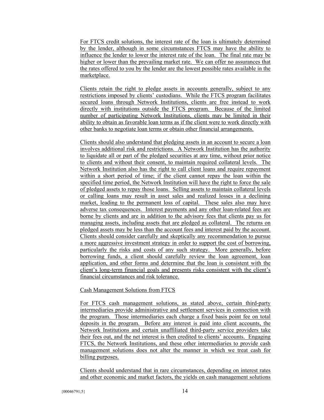For FTCS credit solutions, the interest rate of the loan is ultimately determined by the lender, although in some circumstances FTCS may have the ability to influence the lender to lower the interest rate of the loan. The final rate may be higher or lower than the prevailing market rate. We can offer no assurances that the rates offered to you by the lender are the lowest possible rates available in the marketplace.

Clients retain the right to pledge assets in accounts generally, subject to any restrictions imposed by clients' custodians. While the FTCS program facilitates secured loans through Network Institutions, clients are free instead to work directly with institutions outside the FTCS program. Because of the limited number of participating Network Institutions, clients may be limited in their ability to obtain as favorable loan terms as if the client were to work directly with other banks to negotiate loan terms or obtain other financial arrangements.

Clients should also understand that pledging assets in an account to secure a loan involves additional risk and restrictions. A Network Institution has the authority to liquidate all or part of the pledged securities at any time, without prior notice to clients and without their consent, to maintain required collateral levels. The Network Institution also has the right to call client loans and require repayment within a short period of time; if the client cannot repay the loan within the specified time period, the Network Institution will have the right to force the sale of pledged assets to repay those loans. Selling assets to maintain collateral levels or calling loans may result in asset sales and realized losses in a declining market, leading to the permanent loss of capital. These sales also may have adverse tax consequences. Interest payments and any other loan-related fees are borne by clients and are in addition to the advisory fees that clients pay us for managing assets, including assets that are pledged as collateral. The returns on pledged assets may be less than the account fees and interest paid by the account. Clients should consider carefully and skeptically any recommendation to pursue a more aggressive investment strategy in order to support the cost of borrowing, particularly the risks and costs of any such strategy. More generally, before borrowing funds, a client should carefully review the loan agreement, loan application, and other forms and determine that the loan is consistent with the client's long-term financial goals and presents risks consistent with the client's financial circumstances and risk tolerance.

#### Cash Management Solutions from FTCS

For FTCS cash management solutions, as stated above, certain third-party intermediaries provide administrative and settlement services in connection with the program. Those intermediaries each charge a fixed basis point fee on total deposits in the program. Before any interest is paid into client accounts, the Network Institutions and certain unaffiliated third-party service providers take their fees out, and the net interest is then credited to clients' accounts. Engaging FTCS, the Network Institutions, and these other intermediaries to provide cash management solutions does not alter the manner in which we treat cash for billing purposes.

Clients should understand that in rare circumstances, depending on interest rates and other economic and market factors, the yields on cash management solutions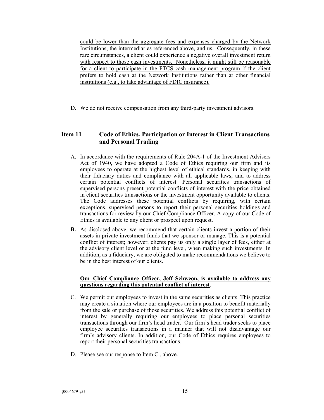could be lower than the aggregate fees and expenses charged by the Network Institutions, the intermediaries referenced above, and us. Consequently, in these rare circumstances, a client could experience a negative overall investment return with respect to those cash investments. Nonetheless, it might still be reasonable for a client to participate in the FTCS cash management program if the client prefers to hold cash at the Network Institutions rather than at other financial institutions (e.g., to take advantage of FDIC insurance).

D. We do not receive compensation from any third-party investment advisors.

# **Item 11 Code of Ethics, Participation or Interest in Client Transactions and Personal Trading**

- A. In accordance with the requirements of Rule 204A-1 of the Investment Advisers Act of 1940, we have adopted a Code of Ethics requiring our firm and its employees to operate at the highest level of ethical standards, in keeping with their fiduciary duties and compliance with all applicable laws, and to address certain potential conflicts of interest. Personal securities transactions of supervised persons present potential conflicts of interest with the price obtained in client securities transactions or the investment opportunity available to clients. The Code addresses these potential conflicts by requiring, with certain exceptions, supervised persons to report their personal securities holdings and transactions for review by our Chief Compliance Officer. A copy of our Code of Ethics is available to any client or prospect upon request.
- **B.** As disclosed above, we recommend that certain clients invest a portion of their assets in private investment funds that we sponsor or manage. This is a potential conflict of interest; however, clients pay us only a single layer of fees, either at the advisory client level or at the fund level, when making such investments. In addition, as a fiduciary, we are obligated to make recommendations we believe to be in the best interest of our clients.

#### **Our Chief Compliance Officer, Jeff Schweon, is available to address any questions regarding this potential conflict of interest**.

- C. We permit our employees to invest in the same securities as clients. This practice may create a situation where our employees are in a position to benefit materially from the sale or purchase of those securities. We address this potential conflict of interest by generally requiring our employees to place personal securities transactions through our firm's head trader. Our firm's head trader seeks to place employee securities transactions in a manner that will not disadvantage our firm's advisory clients. In addition, our Code of Ethics requires employees to report their personal securities transactions.
- D. Please see our response to Item C., above.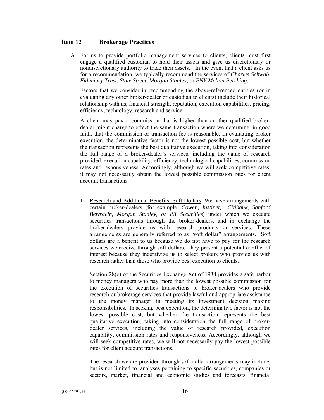#### **Item 12 Brokerage Practices**

A. For us to provide portfolio management services to clients, clients must first engage a qualified custodian to hold their assets and give us discretionary or nondiscretionary authority to trade their assets. In the event that a client asks us for a recommendation, we typically recommend the services of *Charles Schwab*, *Fiduciary Trust*, *State Street*, *Morgan Stanley*, or *BNY Mellon Pershing*.

Factors that we consider in recommending the above-referenced entities (or in evaluating any other broker-dealer or custodian to clients) include their historical relationship with us, financial strength, reputation, execution capabilities, pricing, efficiency, technology, research and service.

A client may pay a commission that is higher than another qualified brokerdealer might charge to effect the same transaction where we determine, in good faith, that the commission or transaction fee is reasonable. In evaluating broker execution, the determinative factor is not the lowest possible cost, but whether the transaction represents the best qualitative execution, taking into consideration the full range of a broker-dealer's services, including the value of research provided, execution capability, efficiency, technological capabilities, commission rates and responsiveness. Accordingly, although we will seek competitive rates, it may not necessarily obtain the lowest possible commission rates for client account transactions.

1. Research and Additional Benefits; Soft Dollars. We have arrangements with certain broker-dealers (for example, *Cowen, Instinet, Citibank, Sanford Bernstein, Morgan Stanley, or ISI Securities*) under which we execute securities transactions through the broker-dealers, and in exchange the broker-dealers provide us with research products or services. These arrangements are generally referred to as "soft dollar" arrangements. Soft dollars are a benefit to us because we do not have to pay for the research services we receive through soft dollars. They present a potential conflict of interest because they incentivize us to select brokers who provide us with research rather than those who provide best execution to clients.

Section 28(e) of the Securities Exchange Act of 1934 provides a safe harbor to money managers who pay more than the lowest possible commission for the execution of securities transactions to broker-dealers who provide research or brokerage services that provide lawful and appropriate assistance to the money manager in meeting its investment decision making responsibilities. In seeking best execution, the determinative factor is not the lowest possible cost, but whether the transaction represents the best qualitative execution, taking into consideration the full range of brokerdealer services, including the value of research provided, execution capability, commission rates and responsiveness. Accordingly, although we will seek competitive rates, we will not necessarily pay the lowest possible rates for client account transactions.

The research we are provided through soft dollar arrangements may include, but is not limited to, analyses pertaining to specific securities, companies or sectors, market, financial and economic studies and forecasts, financial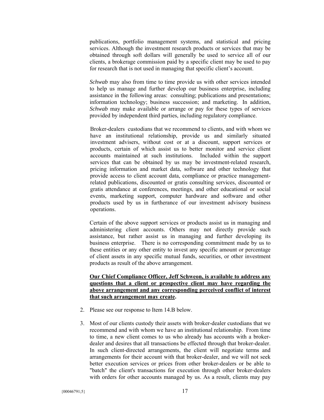publications, portfolio management systems, and statistical and pricing services. Although the investment research products or services that may be obtained through soft dollars will generally be used to service all of our clients, a brokerage commission paid by a specific client may be used to pay for research that is not used in managing that specific client's account.

*Schwab* may also from time to time provide us with other services intended to help us manage and further develop our business enterprise, including assistance in the following areas: consulting; publications and presentations; information technology; business succession; and marketing. In addition, *Schwab* may make available or arrange or pay for these types of services provided by independent third parties, including regulatory compliance.

Broker-dealers custodians that we recommend to clients, and with whom we have an institutional relationship, provide us and similarly situated investment advisers, without cost or at a discount, support services or products, certain of which assist us to better monitor and service client accounts maintained at such institutions. Included within the support services that can be obtained by us may be investment-related research, pricing information and market data, software and other technology that provide access to client account data, compliance or practice managementrelated publications, discounted or gratis consulting services, discounted or gratis attendance at conferences, meetings, and other educational or social events, marketing support, computer hardware and software and other products used by us in furtherance of our investment advisory business operations.

Certain of the above support services or products assist us in managing and administering client accounts. Others may not directly provide such assistance, but rather assist us in managing and further developing its business enterprise. There is no corresponding commitment made by us to these entities or any other entity to invest any specific amount or percentage of client assets in any specific mutual funds, securities, or other investment products as result of the above arrangement.

# **Our Chief Compliance Officer, Jeff Schweon, is available to address any questions that a client or prospective client may have regarding the above arrangement and any corresponding perceived conflict of interest that such arrangement may create.**

- 2. Please see our response to Item 14.B below.
- 3. Most of our clients custody their assets with broker-dealer custodians that we recommend and with whom we have an institutional relationship. From time to time, a new client comes to us who already has accounts with a brokerdealer and desires that all transactions be effected through that broker-dealer. In such client-directed arrangements, the client will negotiate terms and arrangements for their account with that broker-dealer, and we will not seek better execution services or prices from other broker-dealers or be able to "batch" the client's transactions for execution through other broker-dealers with orders for other accounts managed by us. As a result, clients may pay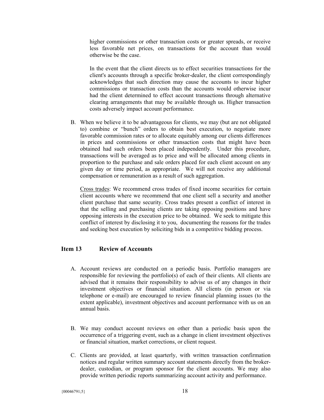higher commissions or other transaction costs or greater spreads, or receive less favorable net prices, on transactions for the account than would otherwise be the case.

In the event that the client directs us to effect securities transactions for the client's accounts through a specific broker-dealer, the client correspondingly acknowledges that such direction may cause the accounts to incur higher commissions or transaction costs than the accounts would otherwise incur had the client determined to effect account transactions through alternative clearing arrangements that may be available through us. Higher transaction costs adversely impact account performance.

B. When we believe it to be advantageous for clients, we may (but are not obligated to) combine or "bunch" orders to obtain best execution, to negotiate more favorable commission rates or to allocate equitably among our clients differences in prices and commissions or other transaction costs that might have been obtained had such orders been placed independently. Under this procedure, transactions will be averaged as to price and will be allocated among clients in proportion to the purchase and sale orders placed for each client account on any given day or time period, as appropriate. We will not receive any additional compensation or remuneration as a result of such aggregation.

Cross trades: We recommend cross trades of fixed income securities for certain client accounts where we recommend that one client sell a security and another client purchase that same security. Cross trades present a conflict of interest in that the selling and purchasing clients are taking opposing positions and have opposing interests in the execution price to be obtained. We seek to mitigate this conflict of interest by disclosing it to you, documenting the reasons for the trades and seeking best execution by soliciting bids in a competitive bidding process.

# **Item 13 Review of Accounts**

- A. Account reviews are conducted on a periodic basis. Portfolio managers are responsible for reviewing the portfolio(s) of each of their clients. All clients are advised that it remains their responsibility to advise us of any changes in their investment objectives or financial situation. All clients (in person or via telephone or e-mail) are encouraged to review financial planning issues (to the extent applicable), investment objectives and account performance with us on an annual basis.
- B. We may conduct account reviews on other than a periodic basis upon the occurrence of a triggering event, such as a change in client investment objectives or financial situation, market corrections, or client request.
- C. Clients are provided, at least quarterly, with written transaction confirmation notices and regular written summary account statements directly from the brokerdealer, custodian, or program sponsor for the client accounts. We may also provide written periodic reports summarizing account activity and performance.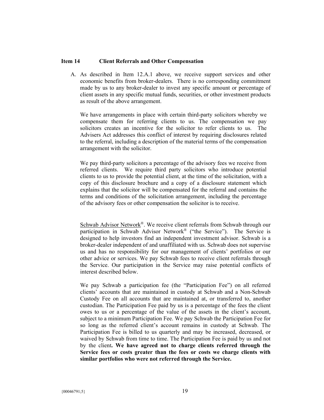#### **Item 14 Client Referrals and Other Compensation**

A. As described in Item 12.A.1 above, we receive support services and other economic benefits from broker-dealers. There is no corresponding commitment made by us to any broker-dealer to invest any specific amount or percentage of client assets in any specific mutual funds, securities, or other investment products as result of the above arrangement.

We have arrangements in place with certain third-party solicitors whereby we compensate them for referring clients to us. The compensation we pay solicitors creates an incentive for the solicitor to refer clients to us. The Advisers Act addresses this conflict of interest by requiring disclosures related to the referral, including a description of the material terms of the compensation arrangement with the solicitor.

We pay third-party solicitors a percentage of the advisory fees we receive from referred clients. We require third party solicitors who introduce potential clients to us to provide the potential client, at the time of the solicitation, with a copy of this disclosure brochure and a copy of a disclosure statement which explains that the solicitor will be compensated for the referral and contains the terms and conditions of the solicitation arrangement, including the percentage of the advisory fees or other compensation the solicitor is to receive.

Schwab Advisor Network®. We receive client referrals from Schwab through our participation in Schwab Advisor Network® ("the Service"). The Service is designed to help investors find an independent investment advisor. Schwab is a broker-dealer independent of and unaffiliated with us. Schwab does not supervise us and has no responsibility for our management of clients' portfolios or our other advice or services. We pay Schwab fees to receive client referrals through the Service. Our participation in the Service may raise potential conflicts of interest described below.

We pay Schwab a participation fee (the "Participation Fee") on all referred clients' accounts that are maintained in custody at Schwab and a Non-Schwab Custody Fee on all accounts that are maintained at, or transferred to, another custodian. The Participation Fee paid by us is a percentage of the fees the client owes to us or a percentage of the value of the assets in the client's account, subject to a minimum Participation Fee. We pay Schwab the Participation Fee for so long as the referred client's account remains in custody at Schwab. The Participation Fee is billed to us quarterly and may be increased, decreased, or waived by Schwab from time to time. The Participation Fee is paid by us and not by the client**. We have agreed not to charge clients referred through the Service fees or costs greater than the fees or costs we charge clients with similar portfolios who were not referred through the Service.**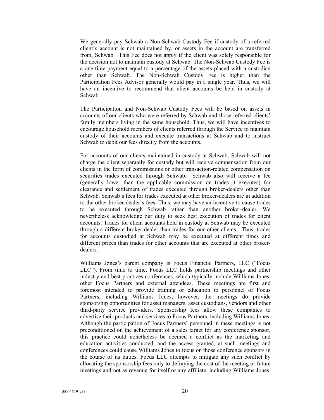We generally pay Schwab a Non-Schwab Custody Fee if custody of a referred client's account is not maintained by, or assets in the account are transferred from, Schwab. This Fee does not apply if the client was solely responsible for the decision not to maintain custody at Schwab. The Non-Schwab Custody Fee is a one-time payment equal to a percentage of the assets placed with a custodian other than Schwab. The Non-Schwab Custody Fee is higher than the Participation Fees Advisor generally would pay in a single year. Thus, we will have an incentive to recommend that client accounts be held in custody at Schwab.

The Participation and Non-Schwab Custody Fees will be based on assets in accounts of our clients who were referred by Schwab and those referred clients' family members living in the same household. Thus, we will have incentives to encourage household members of clients referred through the Service to maintain custody of their accounts and execute transactions at Schwab and to instruct Schwab to debit our fees directly from the accounts.

For accounts of our clients maintained in custody at Schwab, Schwab will not charge the client separately for custody but will receive compensation from our clients in the form of commissions or other transaction-related compensation on securities trades executed through Schwab. Schwab also will receive a fee (generally lower than the applicable commission on trades it executes) for clearance and settlement of trades executed through broker-dealers other than Schwab. Schwab's fees for trades executed at other broker-dealers are in addition to the other broker-dealer's fees. Thus, we may have an incentive to cause trades to be executed through Schwab rather than another broker-dealer. We nevertheless acknowledge our duty to seek best execution of trades for client accounts. Trades for client accounts held in custody at Schwab may be executed through a different broker-dealer than trades for our other clients. Thus, trades for accounts custodied at Schwab may be executed at different times and different prices than trades for other accounts that are executed at other brokerdealers.

Williams Jones's parent company is Focus Financial Partners, LLC ("Focus LLC"). From time to time, Focus LLC holds partnership meetings and other industry and best-practices conferences, which typically include Williams Jones, other Focus Partners and external attendees. These meetings are first and foremost intended to provide training or education to personnel of Focus Partners, including Williams Jones; however, the meetings do provide sponsorship opportunities for asset managers, asset custodians, vendors and other third-party service providers. Sponsorship fees allow these companies to advertise their products and services to Focus Partners, including Williams Jones. Although the participation of Focus Partners' personnel in these meetings is not preconditioned on the achievement of a sales target for any conference sponsor, this practice could nonetheless be deemed a conflict as the marketing and education activities conducted, and the access granted, at such meetings and conferences could cause Williams Jones to focus on those conference sponsors in the course of its duties. Focus LLC attempts to mitigate any such conflict by allocating the sponsorship fees only to defraying the cost of the meeting or future meetings and not as revenue for itself or any affiliate, including Williams Jones.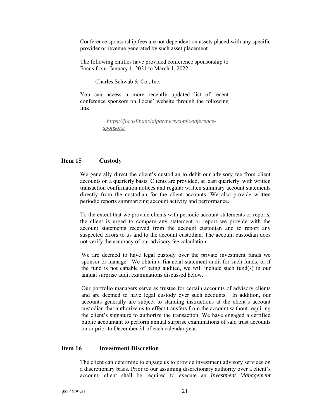Conference sponsorship fees are not dependent on assets placed with any specific provider or revenue generated by such asset placement

The following entities have provided conference sponsorship to Focus from January 1, 2021 to March 1, 2022:

Charles Schwab & Co., Inc.

You can access a more recently updated list of recent conference sponsors on Focus' website through the following link:

> *https://focusfinancialpartners.com/conferencesponsors/*

# **Item 15 Custody**

We generally direct the client's custodian to debit our advisory fee from client accounts on a quarterly basis. Clients are provided, at least quarterly, with written transaction confirmation notices and regular written summary account statements directly from the custodian for the client accounts. We also provide written periodic reports summarizing account activity and performance.

To the extent that we provide clients with periodic account statements or reports, the client is urged to compare any statement or report we provide with the account statements received from the account custodian and to report any suspected errors to us and to the account custodian. The account custodian does not verify the accuracy of our advisory fee calculation.

We are deemed to have legal custody over the private investment funds we sponsor or manage. We obtain a financial statement audit for such funds, or if the fund is not capable of being audited, we will include such fund(s) in our annual surprise audit examinations discussed below.

Our portfolio managers serve as trustee for certain accounts of advisory clients and are deemed to have legal custody over such accounts. In addition, our accounts generally are subject to standing instructions at the client's account custodian that authorize us to effect transfers from the account without requiring the client's signature to authorize the transaction. We have engaged a certified public accountant to perform annual surprise examinations of said trust accounts on or prior to December 31 of each calendar year.

# **Item 16 Investment Discretion**

The client can determine to engage us to provide investment advisory services on a discretionary basis. Prior to our assuming discretionary authority over a client's account, client shall be required to execute an *Investment Management*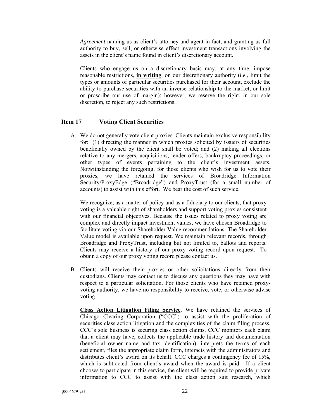*Agreement* naming us as client's attorney and agent in fact, and granting us full authority to buy, sell, or otherwise effect investment transactions involving the assets in the client's name found in client's discretionary account.

Clients who engage us on a discretionary basis may, at any time, impose reasonable restrictions, **in writing**, on our discretionary authority (*i.e.*, limit the types or amounts of particular securities purchased for their account, exclude the ability to purchase securities with an inverse relationship to the market, or limit or proscribe our use of margin); however, we reserve the right, in our sole discretion, to reject any such restrictions.

# **Item 17 Voting Client Securities**

A. We do not generally vote client proxies. Clients maintain exclusive responsibility for: (1) directing the manner in which proxies solicited by issuers of securities beneficially owned by the client shall be voted; and (2) making all elections relative to any mergers, acquisitions, tender offers, bankruptcy proceedings, or other types of events pertaining to the client's investment assets. Notwithstanding the foregoing, for those clients who wish for us to vote their proxies, we have retained the services of Broadridge Information Security/ProxyEdge ("Broadridge") and ProxyTrust (for a small number of accounts) to assist with this effort. We bear the cost of such service.

We recognize, as a matter of policy and as a fiduciary to our clients, that proxy voting is a valuable right of shareholders and support voting proxies consistent with our financial objectives. Because the issues related to proxy voting are complex and directly impact investment values, we have chosen Broadridge to facilitate voting via our Shareholder Value recommendations. The Shareholder Value model is available upon request. We maintain relevant records, through Broadridge and ProxyTrust, including but not limited to, ballots and reports. Clients may receive a history of our proxy voting record upon request. To obtain a copy of our proxy voting record please contact us.

B. Clients will receive their proxies or other solicitations directly from their custodians. Clients may contact us to discuss any questions they may have with respect to a particular solicitation. For those clients who have retained proxyvoting authority, we have no responsibility to receive, vote, or otherwise advise voting.

**Class Action Litigation Filing Service**. We have retained the services of Chicago Clearing Corporation ("CCC") to assist with the proliferation of securities class action litigation and the complexities of the claim filing process. CCC's sole business is securing class action claims. CCC monitors each claim that a client may have, collects the applicable trade history and documentation (beneficial owner name and tax identification), interprets the terms of each settlement, files the appropriate claim form, interacts with the administrators and distributes client's award on its behalf. CCC charges a contingency fee of 15%, which is subtracted from client's award when the award is paid. If a client chooses to participate in this service, the client will be required to provide private information to CCC to assist with the class action suit research, which